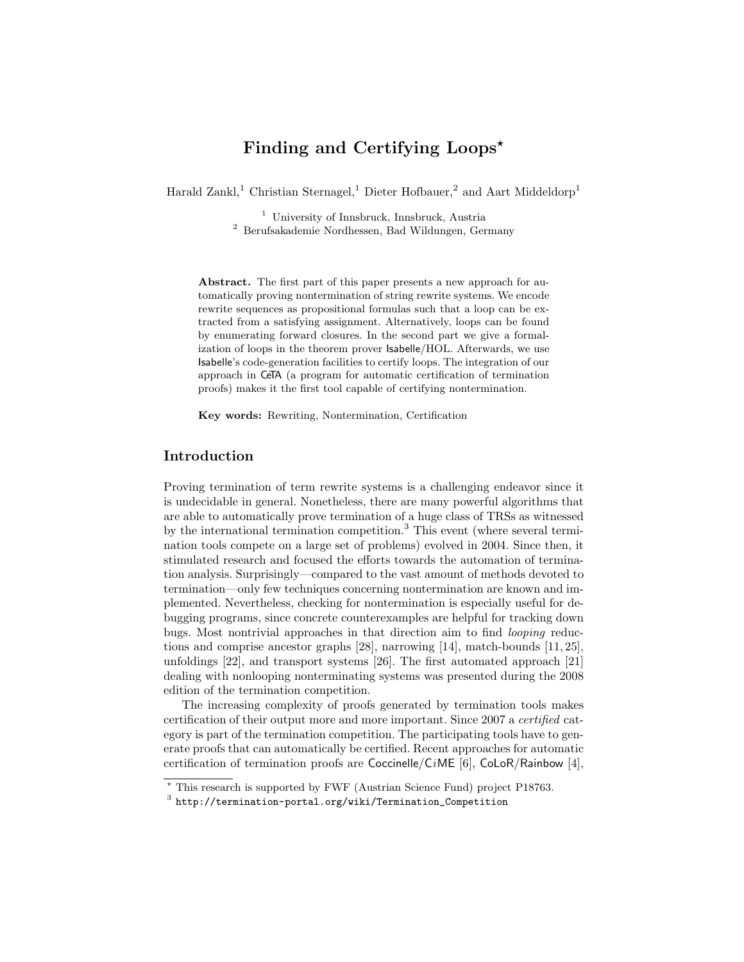# Finding and Certifying Loops<sup>\*</sup>

Harald Zankl,<sup>1</sup> Christian Sternagel,<sup>1</sup> Dieter Hofbauer,<sup>2</sup> and Aart Middeldorp<sup>1</sup>

<sup>1</sup> University of Innsbruck, Innsbruck, Austria <sup>2</sup> Berufsakademie Nordhessen, Bad Wildungen, Germany

Abstract. The first part of this paper presents a new approach for automatically proving nontermination of string rewrite systems. We encode rewrite sequences as propositional formulas such that a loop can be extracted from a satisfying assignment. Alternatively, loops can be found by enumerating forward closures. In the second part we give a formalization of loops in the theorem prover Isabelle/HOL. Afterwards, we use Isabelle's code-generation facilities to certify loops. The integration of our approach in CeTA (a program for automatic certification of termination proofs) makes it the first tool capable of certifying nontermination.

Key words: Rewriting, Nontermination, Certification

# Introduction

Proving termination of term rewrite systems is a challenging endeavor since it is undecidable in general. Nonetheless, there are many powerful algorithms that are able to automatically prove termination of a huge class of TRSs as witnessed by the international termination competition.<sup>[3](#page-0-0)</sup> This event (where several termination tools compete on a large set of problems) evolved in 2004. Since then, it stimulated research and focused the efforts towards the automation of termination analysis. Surprisingly—compared to the vast amount of methods devoted to termination—only few techniques concerning nontermination are known and implemented. Nevertheless, checking for nontermination is especially useful for debugging programs, since concrete counterexamples are helpful for tracking down bugs. Most nontrivial approaches in that direction aim to find looping reductions and comprise ancestor graphs [28], narrowing [14], match-bounds [11, 25], unfoldings [22], and transport systems [26]. The first automated approach [21] dealing with nonlooping nonterminating systems was presented during the 2008 edition of the termination competition.

The increasing complexity of proofs generated by termination tools makes certification of their output more and more important. Since 2007 a certified category is part of the termination competition. The participating tools have to generate proofs that can automatically be certified. Recent approaches for automatic certification of termination proofs are Coccinelle/CiME [6], CoLoR/Rainbow [4],

<sup>?</sup> This research is supported by FWF (Austrian Science Fund) project P18763.

<span id="page-0-0"></span> $^3$  [http://termination-portal.org/wiki/Termination\\_Competition](http://termination-portal.org/wiki/Termination_Competition)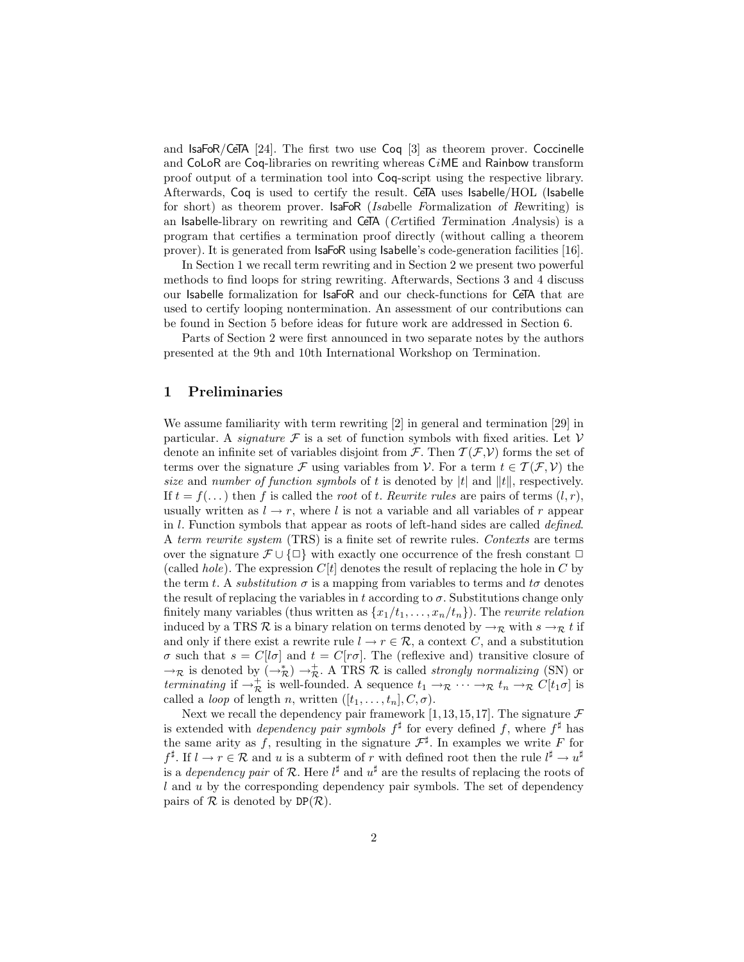and IsaFoR/CeTA [24]. The first two use Coq [3] as theorem prover. Coccinelle and CoLoR are Coq-libraries on rewriting whereas CiME and Rainbow transform proof output of a termination tool into Coq-script using the respective library. Afterwards, Coq is used to certify the result. CeTA uses Isabelle/HOL (Isabelle for short) as theorem prover. IsaFoR (Isabelle Formalization of Rewriting) is an Isabelle-library on rewriting and CeTA (Certified Termination Analysis) is a program that certifies a termination proof directly (without calling a theorem prover). It is generated from IsaFoR using Isabelle's code-generation facilities [16].

In Section [1](#page-1-0) we recall term rewriting and in Section [2](#page-2-0) we present two powerful methods to find loops for string rewriting. Afterwards, Sections [3](#page-5-0) and [4](#page-6-0) discuss our Isabelle formalization for IsaFoR and our check-functions for CeTA that are used to certify looping nontermination. An assessment of our contributions can be found in Section [5](#page-8-0) before ideas for future work are addressed in Section [6.](#page-10-0)

Parts of Section [2](#page-2-0) were first announced in two separate notes by the authors presented at the 9th and 10th International Workshop on Termination.

#### <span id="page-1-0"></span>1 Preliminaries

We assume familiarity with term rewriting [2] in general and termination [29] in particular. A *signature*  $\mathcal F$  is a set of function symbols with fixed arities. Let  $\mathcal V$ denote an infinite set of variables disjoint from  $\mathcal{F}$ . Then  $\mathcal{T}(\mathcal{F},\mathcal{V})$  forms the set of terms over the signature F using variables from V. For a term  $t \in \mathcal{T}(\mathcal{F}, V)$  the size and number of function symbols of t is denoted by |t| and ||t||, respectively. If  $t = f(\ldots)$  then f is called the root of t. Rewrite rules are pairs of terms  $(l, r)$ , usually written as  $l \to r$ , where l is not a variable and all variables of r appear in l. Function symbols that appear as roots of left-hand sides are called defined. A term rewrite system (TRS) is a finite set of rewrite rules. Contexts are terms over the signature  $\mathcal{F} \cup \{\Box\}$  with exactly one occurrence of the fresh constant  $\Box$ (called *hole*). The expression  $C[t]$  denotes the result of replacing the hole in C by the term t. A *substitution*  $\sigma$  is a mapping from variables to terms and t $\sigma$  denotes the result of replacing the variables in t according to  $\sigma$ . Substitutions change only finitely many variables (thus written as  $\{x_1/t_1, \ldots, x_n/t_n\}$ ). The rewrite relation induced by a TRS R is a binary relation on terms denoted by  $\rightarrow_{\mathcal{R}}$  with  $s \rightarrow_{\mathcal{R}} t$  if and only if there exist a rewrite rule  $l \to r \in \mathcal{R}$ , a context C, and a substitution  $\sigma$  such that  $s = C[l\sigma]$  and  $t = C[r\sigma]$ . The (reflexive and) transitive closure of  $\to_{\mathcal{R}}$  is denoted by  $(\to_{\mathcal{R}}^*) \to_{\mathcal{R}}^+$ . A TRS  $\mathcal R$  is called *strongly normalizing* (SN) or terminating if  $\rightarrow_R^+$  is well-founded. A sequence  $t_1 \rightarrow_R \cdots \rightarrow_R t_n \rightarrow_R C[t_1\sigma]$  is called a *loop* of length *n*, written  $([t_1, \ldots, t_n], C, \sigma)$ .

Next we recall the dependency pair framework [1,13,15,17]. The signature  $\mathcal F$ is extended with *dependency pair symbols*  $f^{\sharp}$  for every defined f, where  $f^{\sharp}$  has the same arity as f, resulting in the signature  $\mathcal{F}^{\sharp}$ . In examples we write F for  $f^{\sharp}$ . If  $l \to r \in \mathcal{R}$  and u is a subterm of r with defined root then the rule  $l^{\sharp} \to u^{\sharp}$ is a *dependency pair* of R. Here  $l^{\sharp}$  and  $u^{\sharp}$  are the results of replacing the roots of  $l$  and  $u$  by the corresponding dependency pair symbols. The set of dependency pairs of  $\mathcal R$  is denoted by  $DP(\mathcal R)$ .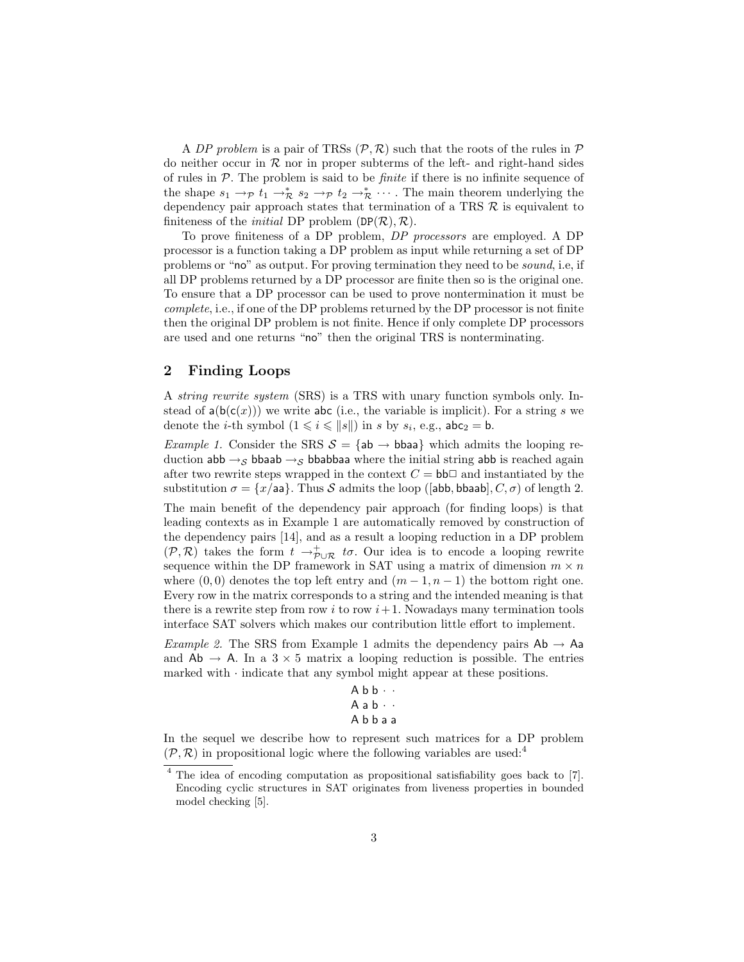A DP problem is a pair of TRSs  $(\mathcal{P}, \mathcal{R})$  such that the roots of the rules in  $\mathcal{P}$ do neither occur in  $R$  nor in proper subterms of the left- and right-hand sides of rules in  $P$ . The problem is said to be *finite* if there is no infinite sequence of the shape  $s_1 \to_{\mathcal{P}} t_1 \to_{\mathcal{R}}^* s_2 \to_{\mathcal{P}} t_2 \to_{\mathcal{R}}^* \cdots$ . The main theorem underlying the dependency pair approach states that termination of a TRS  $R$  is equivalent to finiteness of the *initial* DP problem  $(DP(\mathcal{R}), \mathcal{R})$ .

To prove finiteness of a DP problem, DP processors are employed. A DP processor is a function taking a DP problem as input while returning a set of DP problems or "no" as output. For proving termination they need to be sound, i.e, if all DP problems returned by a DP processor are finite then so is the original one. To ensure that a DP processor can be used to prove nontermination it must be complete, i.e., if one of the DP problems returned by the DP processor is not finite then the original DP problem is not finite. Hence if only complete DP processors are used and one returns "no" then the original TRS is nonterminating.

#### <span id="page-2-0"></span>2 Finding Loops

A string rewrite system (SRS) is a TRS with unary function symbols only. Instead of  $a(b(c(x)))$  we write abc (i.e., the variable is implicit). For a string s we denote the *i*-th symbol  $(1 \leq i \leq ||s||)$  in *s* by  $s_i$ , e.g.,  $abc_2 = b$ .

<span id="page-2-1"></span>*Example 1.* Consider the SRS  $S = \{ab \rightarrow bbaa\}$  which admits the looping reduction  $ab\rightarrow_S bb$ aab  $\rightarrow_S bb$ abbaa where the initial string abb is reached again after two rewrite steps wrapped in the context  $C = bb\Box$  and instantiated by the substitution  $\sigma = \{x/aa\}$ . Thus S admits the loop ([abb, bbaab],  $C, \sigma$ ) of length 2.

The main benefit of the dependency pair approach (for finding loops) is that leading contexts as in Example [1](#page-2-1) are automatically removed by construction of the dependency pairs [14], and as a result a looping reduction in a DP problem  $(\mathcal{P},\mathcal{R})$  takes the form  $t\rightarrow_{\mathcal{P}\cup\mathcal{R}}^+ t\sigma$ . Our idea is to encode a looping rewrite sequence within the DP framework in SAT using a matrix of dimension  $m \times n$ where  $(0,0)$  denotes the top left entry and  $(m-1,n-1)$  the bottom right one. Every row in the matrix corresponds to a string and the intended meaning is that there is a rewrite step from row i to row  $i+1$ . Nowadays many termination tools interface SAT solvers which makes our contribution little effort to implement.

<span id="page-2-3"></span>Example 2. The SRS from Example [1](#page-2-1) admits the dependency pairs  $Ab \rightarrow Aa$ and  $Ab \rightarrow A$ . In a  $3 \times 5$  matrix a looping reduction is possible. The entries marked with  $\cdot$  indicate that any symbol might appear at these positions.

```
A b b \cdot \cdotA a b \cdot \cdotA b b a a
```
In the sequel we describe how to represent such matrices for a DP problem  $(\mathcal{P}, \mathcal{R})$  in propositional logic where the following variables are used:<sup>[4](#page-2-2)</sup>

<span id="page-2-2"></span><sup>&</sup>lt;sup>4</sup> The idea of encoding computation as propositional satisfiability goes back to [7]. Encoding cyclic structures in SAT originates from liveness properties in bounded model checking [5].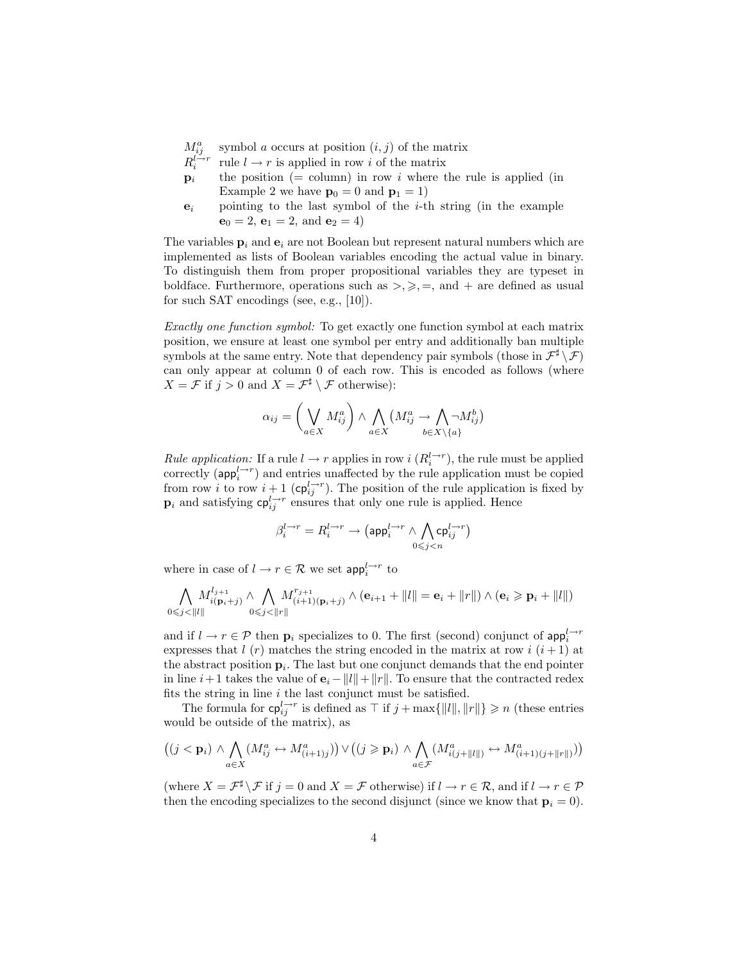- $M_{ij}^a$ symbol a occurs at position  $(i, j)$  of the matrix
- R  $l \rightarrow r$ i rule  $l\rightarrow r$  is applied in row  $i$  of the matrix
- $\mathbf{p}_i$  the position (= column) in row i where the rule is applied (in Example [2](#page-2-3) we have  $p_0 = 0$  and  $p_1 = 1$ )
- $e_i$  pointing to the last symbol of the *i*-th string (in the example  $$

The variables  $\mathbf{p}_i$  and  $\mathbf{e}_i$  are not Boolean but represent natural numbers which are implemented as lists of Boolean variables encoding the actual value in binary. To distinguish them from proper propositional variables they are typeset in boldface. Furthermore, operations such as  $\geq, \geq, =$ , and  $+$  are defined as usual for such SAT encodings (see, e.g., [10]).

Exactly one function symbol: To get exactly one function symbol at each matrix position, we ensure at least one symbol per entry and additionally ban multiple symbols at the same entry. Note that dependency pair symbols (those in  $\mathcal{F}^{\sharp} \setminus \mathcal{F}$ ) can only appear at column 0 of each row. This is encoded as follows (where  $X = \mathcal{F}$  if  $j > 0$  and  $X = \mathcal{F}^{\sharp} \setminus \mathcal{F}$  otherwise):

$$
\alpha_{ij} = \left(\bigvee_{a \in X} M_{ij}^a\right) \wedge \bigwedge_{a \in X} \left(M_{ij}^a \to \bigwedge_{b \in X \setminus \{a\}} \neg M_{ij}^b\right)
$$

*Rule application:* If a rule  $l \to r$  applies in row  $i(R_i^{l \to r})$ , the rule must be applied correctly ( $\mathsf{app}_i^{l \to r}$ ) and entries unaffected by the rule application must be copied from row i to row  $i+1$  ( $\mathsf{cp}_{ij}^{l\rightarrow r}$ ). The position of the rule application is fixed by  $\mathbf{p}_i$  and satisfying  $\mathsf{cp}_{ij}^{\mathsf{L}\to\mathsf{r}}$  ensures that only one rule is applied. Hence

$$
\beta_i^{l\rightarrow r}=R_i^{l\rightarrow r}\rightarrow \big(\mathrm{app}_i^{l\rightarrow r}\wedge \bigwedge_{0\leqslant j
$$

where in case of  $l \to r \in \mathcal{R}$  we set  $\mathsf{app}^{l \to r}_i$  to

$$
\bigwedge_{0\leqslant j<\|l\|} M^{l_{j+1}}_{i(\mathbf{p}_i+j)}\wedge \bigwedge_{0\leqslant j<\|r\|} M^{r_{j+1}}_{(i+1)(\mathbf{p}_i+j)}\wedge (\mathbf{e}_{i+1}+\|l\|=\mathbf{e}_i+\|r\|)\wedge (\mathbf{e}_i\geqslant \mathbf{p}_i+\|l\|)
$$

and if  $l \to r \in \mathcal{P}$  then  $\mathbf{p}_i$  specializes to 0. The first (second) conjunct of  $\mathsf{app}_i^{l \to r}$ expresses that l (r) matches the string encoded in the matrix at row i  $(i+1)$  at the abstract position  $\mathbf{p}_i$ . The last but one conjunct demands that the end pointer in line  $i+1$  takes the value of  $\mathbf{e}_i - ||l|| + ||r||$ . To ensure that the contracted redex fits the string in line  $i$  the last conjunct must be satisfied.

The formula for  $c_p^{l\rightarrow r}_{ij}$  is defined as  $\top$  if  $j + \max\{\Vert l \Vert, \Vert r \Vert\} \geq n$  (these entries would be outside of the matrix), as

$$
((j < \mathbf{p}_i) \land \bigwedge_{a \in X} (M_{ij}^a \leftrightarrow M_{(i+1)j}^a)) \lor ((j \geq \mathbf{p}_i) \land \bigwedge_{a \in \mathcal{F}} (M_{i(j+\|l\|)}^a \leftrightarrow M_{(i+1)(j+\|r\|)}^a))
$$

(where  $X = \mathcal{F}^{\sharp} \setminus \mathcal{F}$  if  $j = 0$  and  $X = \mathcal{F}$  otherwise) if  $l \to r \in \mathcal{R}$ , and if  $l \to r \in \mathcal{P}$ then the encoding specializes to the second disjunct (since we know that  $\mathbf{p}_i = 0$ ).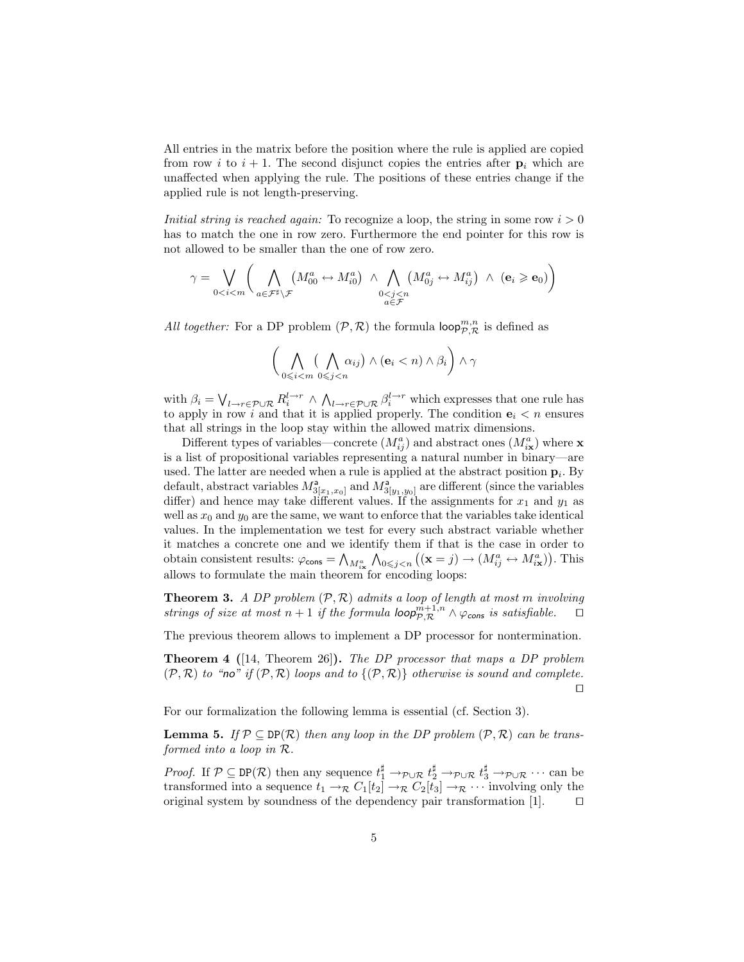All entries in the matrix before the position where the rule is applied are copied from row i to  $i + 1$ . The second disjunct copies the entries after  $p_i$  which are unaffected when applying the rule. The positions of these entries change if the applied rule is not length-preserving.

Initial string is reached again: To recognize a loop, the string in some row  $i > 0$ has to match the one in row zero. Furthermore the end pointer for this row is not allowed to be smaller than the one of row zero.

$$
\gamma = \bigvee_{0 < i < m} \bigg( \bigwedge_{a \in \mathcal{F}^\sharp \setminus \mathcal{F}} \left( M_{00}^a \leftrightarrow M_{i0}^a \right) \land \bigwedge_{\substack{0 < j < n \\ a \in \mathcal{F}}} \left( M_{0j}^a \leftrightarrow M_{ij}^a \right) \land \left( \mathbf{e}_i \geqslant \mathbf{e}_0 \right) \bigg)
$$

All together: For a DP problem  $(\mathcal{P}, \mathcal{R})$  the formula  $\mathsf{loop}_{\mathcal{P},\mathcal{R}}^{m,n}$  is defined as

$$
\bigg(\bigwedge_{0\leqslant i< m} \big(\bigwedge_{0\leqslant j< n} \alpha_{ij}\big) \wedge (\mathbf{e}_i < n) \wedge \beta_i\bigg) \wedge \gamma
$$

with  $\beta_i = \bigvee_{l \to r \in \mathcal{P} \cup \mathcal{R}} R_i^{l \to r} \wedge \bigwedge_{l \to r \in \mathcal{P} \cup \mathcal{R}} \beta_i^{l \to r}$  which expresses that one rule has to apply in row i and that it is applied properly. The condition  $e_i < n$  ensures that all strings in the loop stay within the allowed matrix dimensions.

Different types of variables—concrete  $(M_{ij}^a)$  and abstract ones  $(M_{i**x**}^a)$  where **x** is a list of propositional variables representing a natural number in binary—are used. The latter are needed when a rule is applied at the abstract position  $\mathbf{p}_i$ . By default, abstract variables  $M_{3[x_1,x_0]}^{\mathsf{a}}$  and  $M_{3[y_1,y_0]}^{\mathsf{a}}$  are different (since the variables differ) and hence may take different values. If the assignments for  $x_1$  and  $y_1$  as well as  $x_0$  and  $y_0$  are the same, we want to enforce that the variables take identical values. In the implementation we test for every such abstract variable whether it matches a concrete one and we identify them if that is the case in order to obtain consistent results:  $\varphi_{\text{cons}} = \bigwedge_{M_{i\mathbf{x}}^a} \bigwedge_{0 \leq j < n} \left( (\mathbf{x} = j) \rightarrow (M_{ij}^a \leftrightarrow M_{i\mathbf{x}}^a) \right)$ . This allows to formulate the main theorem for encoding loops:

<span id="page-4-0"></span>**Theorem 3.** A DP problem  $(\mathcal{P}, \mathcal{R})$  admits a loop of length at most m involving strings of size at most  $n+1$  if the formula  $\text{loop}_{\mathcal{P},\mathcal{R}}^{m+1,n} \wedge \varphi_{\text{cons}}$  is satisfiable.

The previous theorem allows to implement a DP processor for nontermination.

Theorem 4 ([14, Theorem 26]). The DP processor that maps a DP problem  $(\mathcal{P}, \mathcal{R})$  to "no" if  $(\mathcal{P}, \mathcal{R})$  loops and to  $\{(\mathcal{P}, \mathcal{R})\}$  otherwise is sound and complete.  $\Box$ 

<span id="page-4-1"></span>For our formalization the following lemma is essential (cf. Section [3\)](#page-5-0).

**Lemma 5.** If  $P \subseteq DP(R)$  then any loop in the DP problem  $(P, R)$  can be transformed into a loop in R.

*Proof.* If  $\mathcal{P} \subseteq \text{DP}(\mathcal{R})$  then any sequence  $t_1^{\sharp} \to_{\mathcal{P} \cup \mathcal{R}} t_2^{\sharp} \to_{\mathcal{P} \cup \mathcal{R}} t_3^{\sharp} \to_{\mathcal{P} \cup \mathcal{R}} \cdots$  can be transformed into a sequence  $t_1 \to_{\mathcal{R}} C_1[t_2] \to_{\mathcal{R}} C_2[t_3] \to_{\mathcal{R}} \cdots$  involving only the original system by soundness of the dependency pair transformation [1].  $\Box$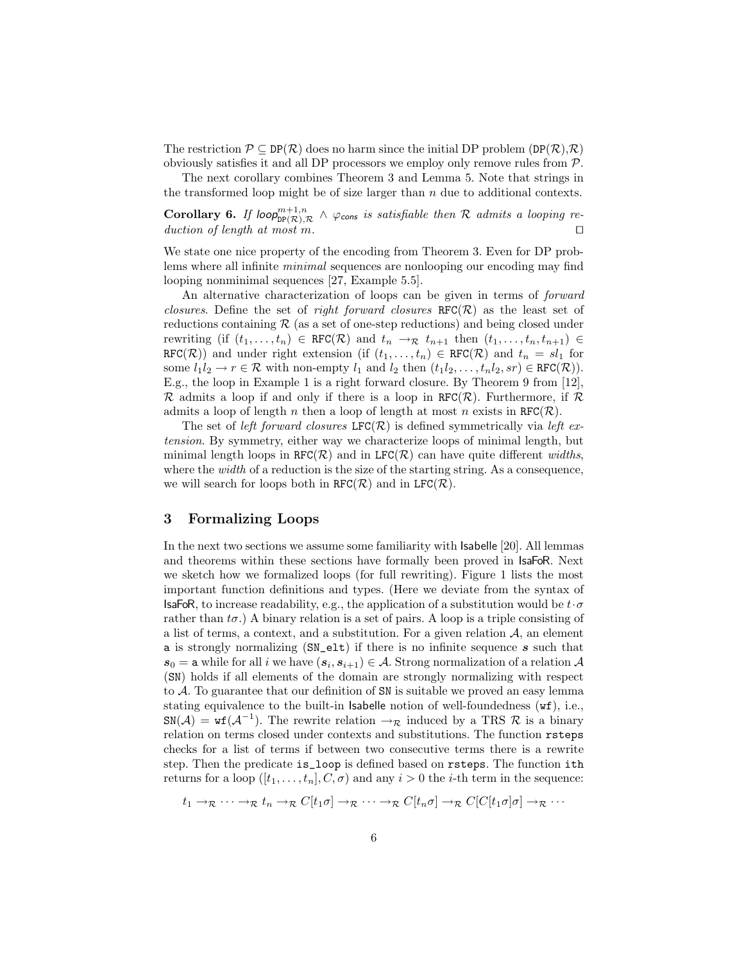The restriction  $\mathcal{P} \subseteq \text{DP}(\mathcal{R})$  does no harm since the initial DP problem  $(\text{DP}(\mathcal{R}), \mathcal{R})$ obviously satisfies it and all DP processors we employ only remove rules from P.

The next corollary combines Theorem [3](#page-4-0) and Lemma [5.](#page-4-1) Note that strings in the transformed loop might be of size larger than  $n$  due to additional contexts.

**Corollary 6.** If loop $p_{\text{DP}(\mathcal{R}),\mathcal{R}}^{m+1,n} \wedge \varphi_{\text{cons}}$  is satisfiable then R admits a looping reduction of length at most m.

We state one nice property of the encoding from Theorem [3.](#page-4-0) Even for DP problems where all infinite *minimal* sequences are nonlooping our encoding may find looping nonminimal sequences [27, Example 5.5].

An alternative characterization of loops can be given in terms of forward closures. Define the set of right forward closures  $RFC(\mathcal{R})$  as the least set of reductions containing  $\mathcal R$  (as a set of one-step reductions) and being closed under rewriting (if  $(t_1, \ldots, t_n) \in \text{RFC}(\mathcal{R})$  and  $t_n \to_{\mathcal{R}} t_{n+1}$  then  $(t_1, \ldots, t_n, t_{n+1}) \in$ RFC(R)) and under right extension (if  $(t_1, \ldots, t_n) \in \text{RFC}(\mathcal{R})$  and  $t_n = sl_1$  for some  $l_1l_2 \to r \in \mathcal{R}$  with non-empty  $l_1$  and  $l_2$  then  $(t_1l_2, \ldots, t_nl_2, sr) \in \text{RFC}(\mathcal{R})$ ). E.g., the loop in Example [1](#page-2-1) is a right forward closure. By Theorem 9 from [12],  $\mathcal R$  admits a loop if and only if there is a loop in RFC( $\mathcal R$ ). Furthermore, if  $\mathcal R$ admits a loop of length n then a loop of length at most n exists in  $RFC(\mathcal{R})$ .

The set of left forward closures LFC( $\mathcal{R}$ ) is defined symmetrically via left extension. By symmetry, either way we characterize loops of minimal length, but minimal length loops in RFC( $\mathcal{R}$ ) and in LFC( $\mathcal{R}$ ) can have quite different widths, where the *width* of a reduction is the size of the starting string. As a consequence, we will search for loops both in  $RFC(\mathcal{R})$  and in  $LFC(\mathcal{R})$ .

### <span id="page-5-0"></span>3 Formalizing Loops

In the next two sections we assume some familiarity with Isabelle [20]. All lemmas and theorems within these sections have formally been proved in IsaFoR. Next we sketch how we formalized loops (for full rewriting). Figure [1](#page-6-1) lists the most important function definitions and types. (Here we deviate from the syntax of **IsaFoR**, to increase readability, e.g., the application of a substitution would be  $t \cdot \sigma$ rather than  $t\sigma$ .) A binary relation is a set of pairs. A loop is a triple consisting of a list of terms, a context, and a substitution. For a given relation  $A$ , an element a is strongly normalizing  $(SN_{ell})$  if there is no infinite sequence s such that  $s_0 =$  a while for all i we have  $(s_i, s_{i+1}) \in A$ . Strong normalization of a relation  $A$ (SN) holds if all elements of the domain are strongly normalizing with respect to A. To guarantee that our definition of SN is suitable we proved an easy lemma stating equivalence to the built-in Isabelle notion of well-foundedness (wf), i.e.,  $\text{SN}(\mathcal{A}) = \text{wf}(\mathcal{A}^{-1})$ . The rewrite relation  $\rightarrow_{\mathcal{R}}$  induced by a TRS  $\mathcal{R}$  is a binary relation on terms closed under contexts and substitutions. The function rsteps checks for a list of terms if between two consecutive terms there is a rewrite step. Then the predicate is\_loop is defined based on rsteps. The function ith returns for a loop  $([t_1, \ldots, t_n], C, \sigma)$  and any  $i > 0$  the *i*-th term in the sequence:

$$
t_1 \to_{\mathcal{R}} \cdots \to_{\mathcal{R}} t_n \to_{\mathcal{R}} C[t_1 \sigma] \to_{\mathcal{R}} \cdots \to_{\mathcal{R}} C[t_n \sigma] \to_{\mathcal{R}} C[C[t_1 \sigma] \sigma] \to_{\mathcal{R}} \cdots
$$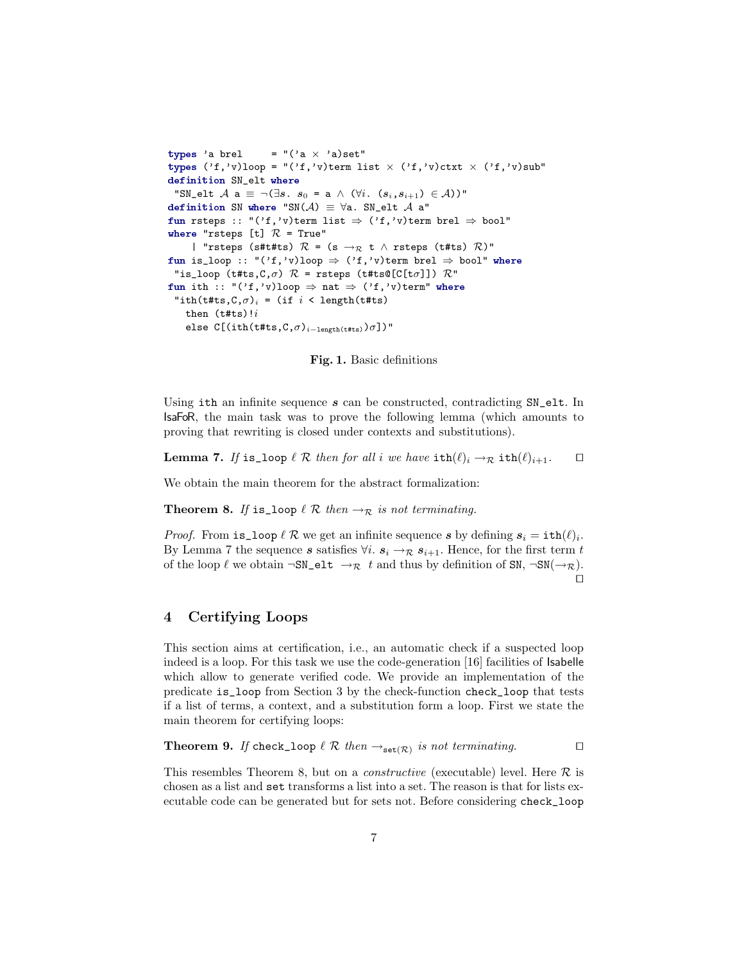```
types 'a brel = "('a \times 'a)set"
types ('f,'v)loop = "('f,'v)term list \times ('f,'v)ctxt \times ('f,'v)sub"
definition SN_elt where
 "SN_elt A a \equiv \neg (\exists s. s_0 = a \wedge (\forall i. (s_i, s_{i+1}) \in A))"
definition SN where "SN(A) \equiv \foralla. SN_elt A a"
fun rsteps :: "('f,'v)term list \Rightarrow ('f,'v)term brel \Rightarrow bool"
where "rsteps [t] \mathcal{R} = True"
     | "rsteps (s#t#ts) \mathcal{R} = (s \rightarrow_{\mathcal{R}} t \land rsteps (t#ts) \mathcal{R})"
fun is_loop :: "('f,'v)loop \Rightarrow ('f,'v)term brel \Rightarrow bool" where
 "is_loop (t#ts, C, \sigma) R = rsteps (t#ts@[C[t\sigma]]) R"
fun ith :: "('f,'v)loop \Rightarrow nat \Rightarrow ('f,'v)term" where
 "ith(t#ts, C, \sigma)<sub>i</sub> = (if i < length(t#ts)
    then (t#ts)!ielse C[(ith(t#ts, C, \sigma)_{i-length(t#ts)})\sigma])"
```
<span id="page-6-1"></span>Fig. 1. Basic definitions

Using ith an infinite sequence  $s$  can be constructed, contradicting  $SN$ -elt. In IsaFoR, the main task was to prove the following lemma (which amounts to proving that rewriting is closed under contexts and substitutions).

<span id="page-6-2"></span>**Lemma 7.** If is loop  $\ell \mathcal{R}$  then for all i we have  $\text{ith}(\ell)_i \rightarrow_{\mathcal{R}} \text{ith}(\ell)_{i+1}$ .  $\Box$ 

<span id="page-6-3"></span>We obtain the main theorem for the abstract formalization:

**Theorem 8.** If is loop  $\ell \mathcal{R}$  then  $\rightarrow_{\mathcal{R}}$  is not terminating.

*Proof.* From is loop  $\ell \mathcal{R}$  we get an infinite sequence s by defining  $s_i = \text{ith}(\ell)_i$ . By Lemma [7](#page-6-2) the sequence s satisfies  $\forall i$ .  $s_i \rightarrow \mathcal{R}$   $s_{i+1}$ . Hence, for the first term t of the loop  $\ell$  we obtain  $\neg SN\_elt \rightarrow \mathcal{R}$  t and thus by definition of SN,  $\neg SN(\rightarrow \mathcal{R})$ .  $\Box$ 

# <span id="page-6-0"></span>4 Certifying Loops

This section aims at certification, i.e., an automatic check if a suspected loop indeed is a loop. For this task we use the code-generation [16] facilities of Isabelle which allow to generate verified code. We provide an implementation of the predicate is\_loop from Section [3](#page-5-0) by the check-function check\_loop that tests if a list of terms, a context, and a substitution form a loop. First we state the main theorem for certifying loops:

**Theorem 9.** If check\_loop  $\ell \mathcal{R}$  then  $\rightarrow_{\mathbf{set}(\mathcal{R})}$  is not terminating.

This resembles Theorem [8,](#page-6-3) but on a *constructive* (executable) level. Here  $\mathcal{R}$  is chosen as a list and set transforms a list into a set. The reason is that for lists executable code can be generated but for sets not. Before considering check\_loop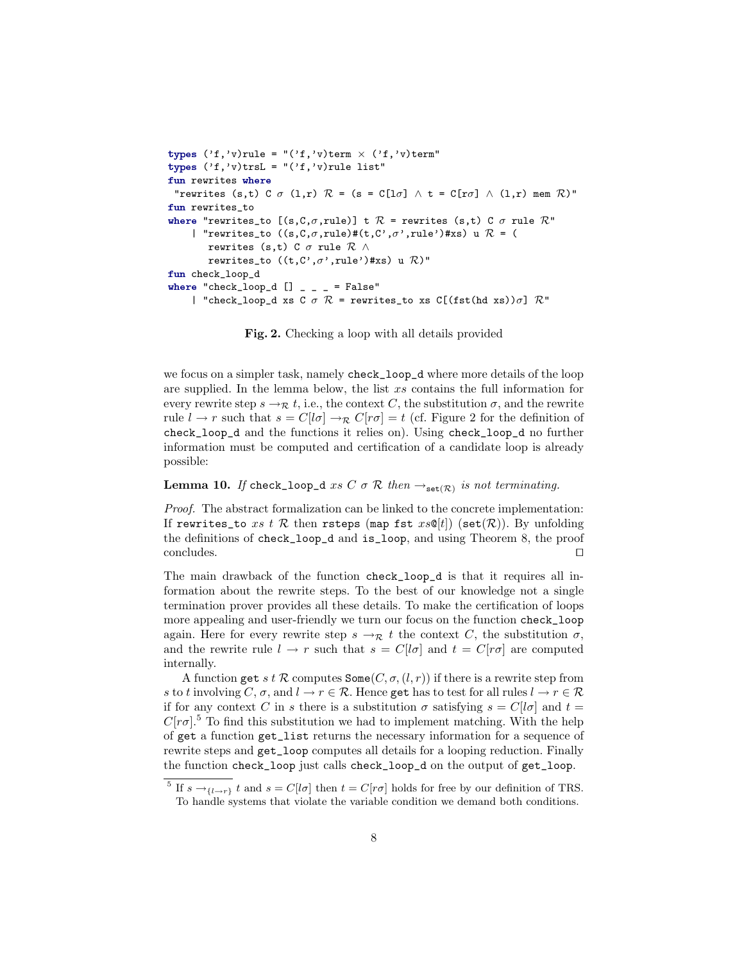```
types ('f,'v)rule = "('f,'v)term \times ('f,'v)term"
types ('f,'v)trsL = "('f,'v)rule list"
fun rewrites where
 "rewrites (s,t) C \sigma (l,r) \mathcal{R} = (s = C[l\sigma] \wedge t = C[r\sigma] \wedge (l,r) mem \mathcal{R})"
fun rewrites_to
where "rewrites_to [(s,C,\sigma,rule)] t \mathcal{R} = rewrites (s,t) C \sigma rule \mathcal{R}"
     | "rewrites_to ((s, C, \sigma, rule)#(t, C', \sigma', rule')#xs) u \mathcal{R} = (
         rewrites (s,t) C \sigma rule \mathcal{R} \wedgerewrites_to ((t,C',\sigma',\text{rule'})*xs) u \mathcal{R})"
fun check_loop_d
where "check_loop_d [] \_ \_ = False"
     | "check_loop_d xs C \sigma \mathcal{R} = rewrites_to xs C[(fst(hd xs))\sigma] \mathcal{R}"
```
<span id="page-7-0"></span>Fig. 2. Checking a loop with all details provided

we focus on a simpler task, namely check\_loop\_d where more details of the loop are supplied. In the lemma below, the list xs contains the full information for every rewrite step  $s \to_{\mathcal{R}} t$ , i.e., the context C, the substitution  $\sigma$ , and the rewrite rule  $l \to r$  such that  $s = C[l\sigma] \to_R C[r\sigma] = t$  (cf. Figure [2](#page-7-0) for the definition of check\_loop\_d and the functions it relies on). Using check\_loop\_d no further information must be computed and certification of a candidate loop is already possible:

#### **Lemma 10.** If check\_loop\_d xs C  $\sigma \mathcal{R}$  then  $\rightarrow_{\text{set}(\mathcal{R})}$  is not terminating.

Proof. The abstract formalization can be linked to the concrete implementation: If rewrites\_to xs t R then rsteps (map fst  $xs@[t]$ ) (set(R)). By unfolding the definitions of check\_loop\_d and is\_loop, and using Theorem [8,](#page-6-3) the proof  $\Box$ concludes.  $\Box$ 

The main drawback of the function check\_loop\_d is that it requires all information about the rewrite steps. To the best of our knowledge not a single termination prover provides all these details. To make the certification of loops more appealing and user-friendly we turn our focus on the function check\_loop again. Here for every rewrite step  $s \to \mathcal{R}$  t the context C, the substitution  $\sigma$ , and the rewrite rule  $l \to r$  such that  $s = C[l\sigma]$  and  $t = C[r\sigma]$  are computed internally.

A function get s t R computes  $\texttt{Some}(C, \sigma, (l, r))$  if there is a rewrite step from s to t involving C,  $\sigma$ , and  $l \to r \in \mathcal{R}$ . Hence get has to test for all rules  $l \to r \in \mathcal{R}$ if for any context C in s there is a substitution  $\sigma$  satisfying  $s = C[l\sigma]$  and  $t =$  $C[r\sigma]$ <sup>[5](#page-7-1)</sup>. To find this substitution we had to implement matching. With the help of get a function get\_list returns the necessary information for a sequence of rewrite steps and get\_loop computes all details for a looping reduction. Finally the function check\_loop just calls check\_loop\_d on the output of get\_loop.

<span id="page-7-1"></span><sup>&</sup>lt;sup>5</sup> If  $s \rightarrow_{\{l \rightarrow r\}} t$  and  $s = C[l\sigma]$  then  $t = C[r\sigma]$  holds for free by our definition of TRS. To handle systems that violate the variable condition we demand both conditions.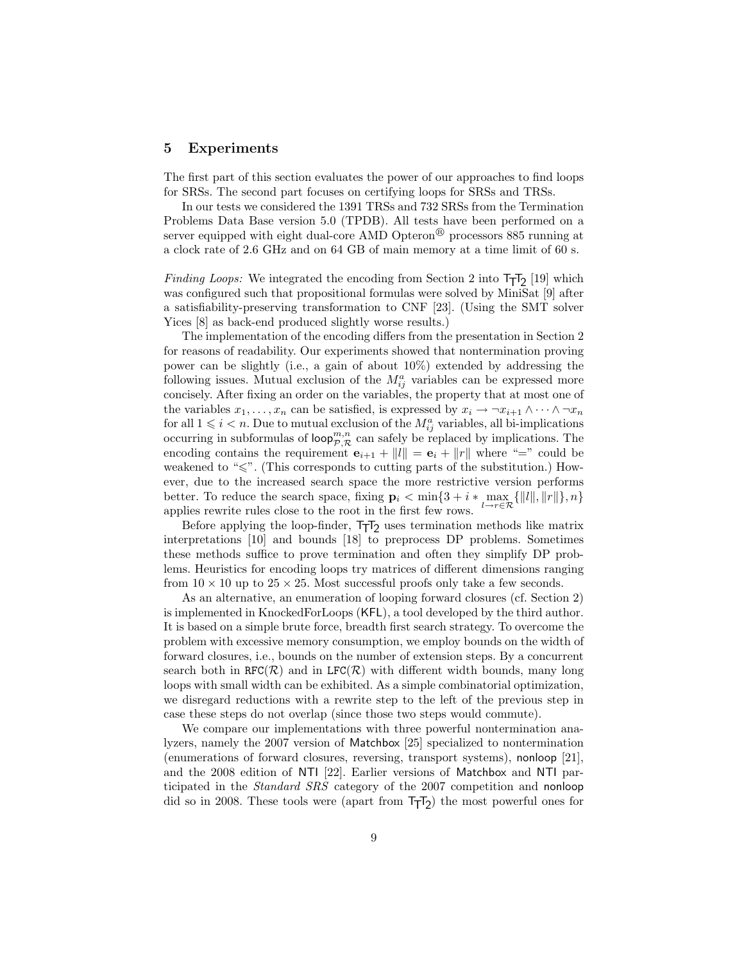#### <span id="page-8-0"></span>5 Experiments

The first part of this section evaluates the power of our approaches to find loops for SRSs. The second part focuses on certifying loops for SRSs and TRSs.

In our tests we considered the 1391 TRSs and 732 SRSs from the Termination Problems Data Base version 5.0 (TPDB). All tests have been performed on a server equipped with eight dual-core AMD Opteron<sup>®</sup> processors 885 running at a clock rate of 2.6 GHz and on 64 GB of main memory at a time limit of 60 s.

*Finding Loops:* We integrated the encoding from Section [2](#page-2-0) into  $T_TT_2$  [19] which was configured such that propositional formulas were solved by MiniSat [9] after a satisfiability-preserving transformation to CNF [23]. (Using the SMT solver Yices [8] as back-end produced slightly worse results.)

The implementation of the encoding differs from the presentation in Section [2](#page-2-0) for reasons of readability. Our experiments showed that nontermination proving power can be slightly (i.e., a gain of about 10%) extended by addressing the following issues. Mutual exclusion of the  $M_{ij}^a$  variables can be expressed more concisely. After fixing an order on the variables, the property that at most one of the variables  $x_1, \ldots, x_n$  can be satisfied, is expressed by  $x_i \to \neg x_{i+1} \wedge \cdots \wedge \neg x_n$ for all  $1 \leq i < n$ . Due to mutual exclusion of the  $M_{ij}^a$  variables, all bi-implications occurring in subformulas of loop $_{\mathcal{P},\mathcal{R}}^{m,n}$  can safely be replaced by implications. The encoding contains the requirement  $e_{i+1} + ||l|| = e_i + ||r||$  where "=" could be weakened to " $\leq$ ". (This corresponds to cutting parts of the substitution.) However, due to the increased search space the more restrictive version performs better. To reduce the search space, fixing  $\mathbf{p}_i < \min\{3 + i * \max_{l \to r \in \mathcal{R}} \{||l||, ||r||\}, n\}$ applies rewrite rules close to the root in the first few rows.

Before applying the loop-finder,  $TT_2$  uses termination methods like matrix interpretations [10] and bounds [18] to preprocess DP problems. Sometimes these methods suffice to prove termination and often they simplify DP problems. Heuristics for encoding loops try matrices of different dimensions ranging from  $10 \times 10$  up to  $25 \times 25$ . Most successful proofs only take a few seconds.

As an alternative, an enumeration of looping forward closures (cf. Section [2\)](#page-2-0) is implemented in KnockedForLoops (KFL), a tool developed by the third author. It is based on a simple brute force, breadth first search strategy. To overcome the problem with excessive memory consumption, we employ bounds on the width of forward closures, i.e., bounds on the number of extension steps. By a concurrent search both in RFC( $\mathcal{R}$ ) and in LFC( $\mathcal{R}$ ) with different width bounds, many long loops with small width can be exhibited. As a simple combinatorial optimization, we disregard reductions with a rewrite step to the left of the previous step in case these steps do not overlap (since those two steps would commute).

We compare our implementations with three powerful nontermination analyzers, namely the 2007 version of Matchbox [25] specialized to nontermination (enumerations of forward closures, reversing, transport systems), nonloop [21], and the 2008 edition of NTI [22]. Earlier versions of Matchbox and NTI participated in the Standard SRS category of the 2007 competition and nonloop did so in 2008. These tools were (apart from  $T_{\overline{1}}T_{2}$ ) the most powerful ones for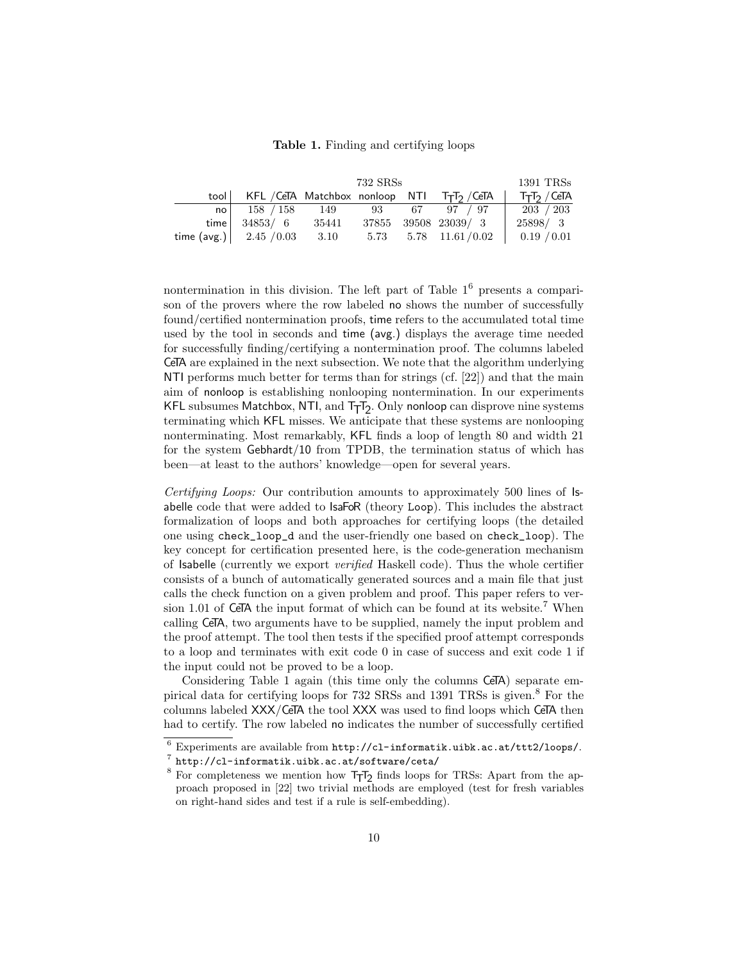#### <span id="page-9-0"></span>Table 1. Finding and certifying loops

|      | 732 SRSs                                           |  |  |  |                            | $1391$ TRSs                          |
|------|----------------------------------------------------|--|--|--|----------------------------|--------------------------------------|
|      | tool   KFL / CeTA Matchbox nonloop NTI TTT2 / CeTA |  |  |  |                            | T <sub>T</sub> T <sub>2</sub> / CeTA |
|      | no $158 / 158$ $149$ $93$ $67$ $97 / 97$           |  |  |  |                            | 203 / 203                            |
| time | 34853/6 35441                                      |  |  |  | 37855 39508 23039/3        | 25898/3                              |
|      | time $(\text{avg.})$   2.45 / 0.03 3.10            |  |  |  | $5.73$ $5.78$ $11.61/0.02$ | 0.19 / 0.01                          |

nontermination in this division. The left part of Table  $1<sup>6</sup>$  $1<sup>6</sup>$  $1<sup>6</sup>$  presents a comparison of the provers where the row labeled no shows the number of successfully found/certified nontermination proofs, time refers to the accumulated total time used by the tool in seconds and time (avg.) displays the average time needed for successfully finding/certifying a nontermination proof. The columns labeled CeTA are explained in the next subsection. We note that the algorithm underlying NTI performs much better for terms than for strings (cf. [22]) and that the main aim of nonloop is establishing nonlooping nontermination. In our experiments <code>KFL</code> subsumes <code>Matchbox</code>, <code>NTI</code>, and <code>T<sub>T</sub>T<sub>2</sub>. Only nonloop can disprove nine systems  $\,$ </code> terminating which KFL misses. We anticipate that these systems are nonlooping nonterminating. Most remarkably, KFL finds a loop of length 80 and width 21 for the system Gebhardt/10 from TPDB, the termination status of which has been—at least to the authors' knowledge—open for several years.

Certifying Loops: Our contribution amounts to approximately 500 lines of Isabelle code that were added to IsaFoR (theory Loop). This includes the abstract formalization of loops and both approaches for certifying loops (the detailed one using check\_loop\_d and the user-friendly one based on check\_loop). The key concept for certification presented here, is the code-generation mechanism of Isabelle (currently we export verified Haskell code). Thus the whole certifier consists of a bunch of automatically generated sources and a main file that just calls the check function on a given problem and proof. This paper refers to ver-sion 1.01 of CeTA the input format of which can be found at its website.<sup>[7](#page-9-2)</sup> When calling CeTA, two arguments have to be supplied, namely the input problem and the proof attempt. The tool then tests if the specified proof attempt corresponds to a loop and terminates with exit code 0 in case of success and exit code 1 if the input could not be proved to be a loop.

Considering Table [1](#page-9-0) again (this time only the columns CeTA) separate empirical data for certifying loops for  $732$  SRSs and  $1391$  TRSs is given.<sup>[8](#page-9-3)</sup> For the columns labeled XXX/CeTA the tool XXX was used to find loops which CeTA then had to certify. The row labeled no indicates the number of successfully certified

<span id="page-9-1"></span> $6$  Experiments are available from  $http://cl-informatik.uibk.ac.at/ttt2/loops/$ .

<span id="page-9-2"></span> $\frac{7}{1}$  <http://cl-informatik.uibk.ac.at/software/ceta/>

<span id="page-9-3"></span> $8$  For completeness we mention how  $T_TT_2$  finds loops for TRSs: Apart from the approach proposed in [22] two trivial methods are employed (test for fresh variables on right-hand sides and test if a rule is self-embedding).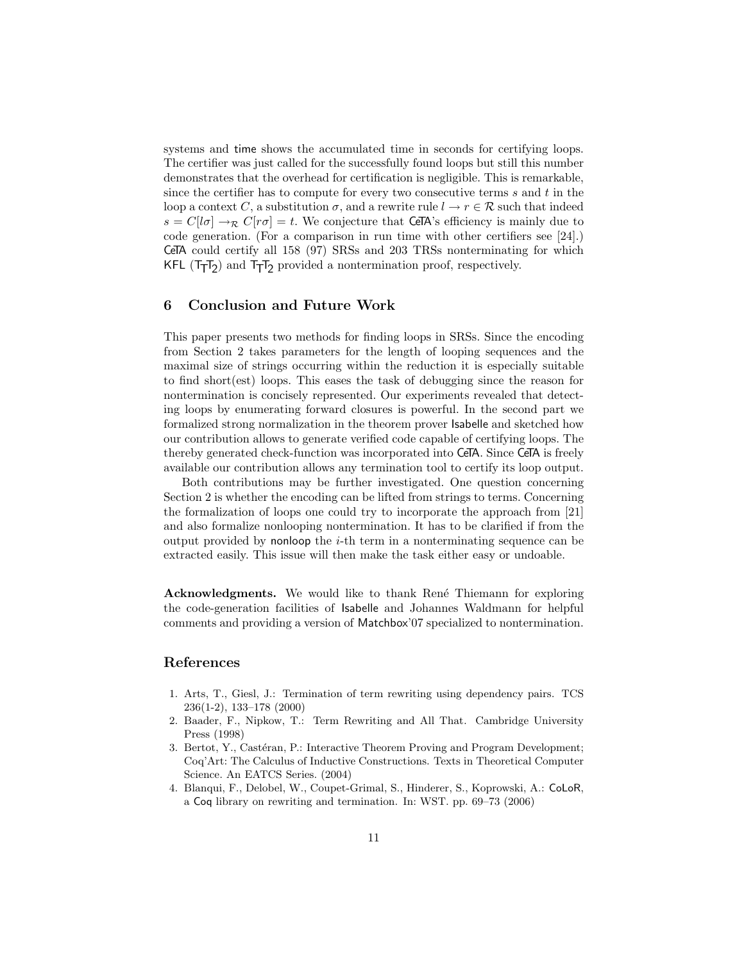systems and time shows the accumulated time in seconds for certifying loops. The certifier was just called for the successfully found loops but still this number demonstrates that the overhead for certification is negligible. This is remarkable, since the certifier has to compute for every two consecutive terms  $s$  and  $t$  in the loop a context C, a substitution  $\sigma$ , and a rewrite rule  $l \to r \in \mathcal{R}$  such that indeed  $s = C[1\sigma] \rightarrow_{\mathcal{R}} C[r\sigma] = t$ . We conjecture that CeTA's efficiency is mainly due to code generation. (For a comparison in run time with other certifiers see [24].) CeTA could certify all 158 (97) SRSs and 203 TRSs nonterminating for which KFL  $(T_TT_2)$  and  $T_TT_2$  provided a nontermination proof, respectively.

#### <span id="page-10-0"></span>6 Conclusion and Future Work

This paper presents two methods for finding loops in SRSs. Since the encoding from Section [2](#page-2-0) takes parameters for the length of looping sequences and the maximal size of strings occurring within the reduction it is especially suitable to find short(est) loops. This eases the task of debugging since the reason for nontermination is concisely represented. Our experiments revealed that detecting loops by enumerating forward closures is powerful. In the second part we formalized strong normalization in the theorem prover Isabelle and sketched how our contribution allows to generate verified code capable of certifying loops. The thereby generated check-function was incorporated into CeTA. Since CeTA is freely available our contribution allows any termination tool to certify its loop output.

Both contributions may be further investigated. One question concerning Section [2](#page-2-0) is whether the encoding can be lifted from strings to terms. Concerning the formalization of loops one could try to incorporate the approach from [21] and also formalize nonlooping nontermination. It has to be clarified if from the output provided by nonloop the  $i$ -th term in a nonterminating sequence can be extracted easily. This issue will then make the task either easy or undoable.

Acknowledgments. We would like to thank René Thiemann for exploring the code-generation facilities of Isabelle and Johannes Waldmann for helpful comments and providing a version of Matchbox'07 specialized to nontermination.

# References

- 1. Arts, T., Giesl, J.: Termination of term rewriting using dependency pairs. TCS 236(1-2), 133–178 (2000)
- 2. Baader, F., Nipkow, T.: Term Rewriting and All That. Cambridge University Press (1998)
- 3. Bertot, Y., Castéran, P.: Interactive Theorem Proving and Program Development; Coq'Art: The Calculus of Inductive Constructions. Texts in Theoretical Computer Science. An EATCS Series. (2004)
- 4. Blanqui, F., Delobel, W., Coupet-Grimal, S., Hinderer, S., Koprowski, A.: CoLoR, a Coq library on rewriting and termination. In: WST. pp. 69–73 (2006)